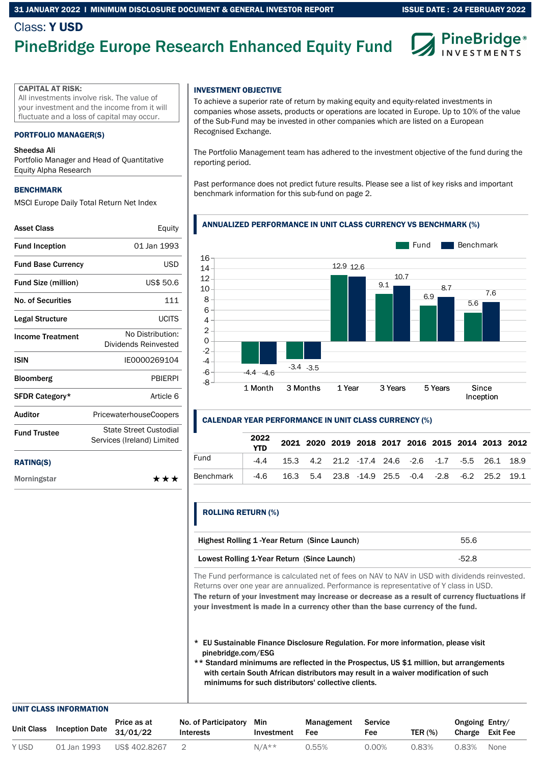#### 31 JANUARY 2022 l MINIMUM DISCLOSURE DOCUMENT & GENERAL INVESTOR REPORT

## Class: Y USD

# PineBridge Europe Research Enhanced Equity Fund

**PineBridge** ESTMENTS

#### CAPITAL AT RISK:

All investments involve risk. The value of your investment and the income from it will fluctuate and a loss of capital may occur.

#### PORTFOLIO MANAGER(S)

#### Sheedsa Ali

Portfolio Manager and Head of Quantitative Equity Alpha Research

#### **BENCHMARK**

MSCI Europe Daily Total Return Net Index

| <b>Asset Class</b>         | Equity                                               |
|----------------------------|------------------------------------------------------|
| <b>Fund Inception</b>      | 01 Jan 1993                                          |
| <b>Fund Base Currency</b>  | USD                                                  |
| <b>Fund Size (million)</b> | US\$ 50.6                                            |
| No. of Securities          | 111                                                  |
| Legal Structure            | <b>UCITS</b>                                         |
| <b>Income Treatment</b>    | No Distribution:<br>Dividends Reinvested             |
| <b>ISIN</b>                | IE0000269104                                         |
| <b>Bloomberg</b>           | <b>PRIFRPI</b>                                       |
| SFDR Category*             | Article 6                                            |
| <b>Auditor</b>             | <b>PricewaterhouseCoopers</b>                        |
| <b>Fund Trustee</b>        | State Street Custodial<br>Services (Ireland) Limited |
|                            |                                                      |

#### RATING(S)

Morningstar

#### INVESTMENT OBJECTIVE

To achieve a superior rate of return by making equity and equity-related investments in companies whose assets, products or operations are located in Europe. Up to 10% of the value of the Sub-Fund may be invested in other companies which are listed on a European Recognised Exchange.

The Portfolio Management team has adhered to the investment objective of the fund during the reporting period.

Past performance does not predict future results. Please see a list of key risks and important benchmark information for this sub-fund on page 2.

#### ANNUALIZED PERFORMANCE IN UNIT CLASS CURRENCY VS BENCHMARK (%)



#### CALENDAR YEAR PERFORMANCE IN UNIT CLASS CURRENCY (%)

|           | 2022<br><b>YTD</b> |                                                                  | 2021 2020 2019 2018 2017 2016 2015 2014 2013 2012 |  |  |  |  |
|-----------|--------------------|------------------------------------------------------------------|---------------------------------------------------|--|--|--|--|
| Fund      | -44                | 15.3 4.2 21.2 -17.4 24.6 -2.6 -1.7 -5.5 26.1 18.9                |                                                   |  |  |  |  |
| Benchmark |                    | -4.6  16.3  5.4  23.8  -14.9  25.5  -0.4  -2.8  -6.2  25.2  19.1 |                                                   |  |  |  |  |

#### ROLLING RETURN (%)

\*\*\*

| Highest Rolling 1-Year Return (Since Launch) | 55.6  |
|----------------------------------------------|-------|
| Lowest Rolling 1-Year Return (Since Launch)  | -52.8 |

The Fund performance is calculated net of fees on NAV to NAV in USD with dividends reinvested. Returns over one year are annualized. Performance is representative of Y class in USD. The return of your investment may increase or decrease as a result of currency fluctuations if

your investment is made in a currency other than the base currency of the fund.

- \* EU Sustainable Finance Disclosure Regulation. For more information, please visit pinebridge.com/ESG
- \*\* Standard minimums are reflected in the Prospectus, US \$1 million, but arrangements with certain South African distributors may result in a waiver modification of such minimums for such distributors' collective clients.

#### UNIT CLASS INFORMATION

| Unit Class |             | Price as at<br>$\sim$ ass Inception Date $31/01/22$ | No. of Participatory<br>Interests | Min<br>Investment | Management<br>Fee | <b>Service</b><br>Fee | TER $(%)$ | Ongoing Entry/<br>Charge Exit Fee |      |
|------------|-------------|-----------------------------------------------------|-----------------------------------|-------------------|-------------------|-----------------------|-----------|-----------------------------------|------|
| Y USD      | 01 Jan 1993 | US\$ 402.8267                                       |                                   | $N/A**$           | 0.55%             | 0.00%                 | 0.83%     | 0.83%                             | None |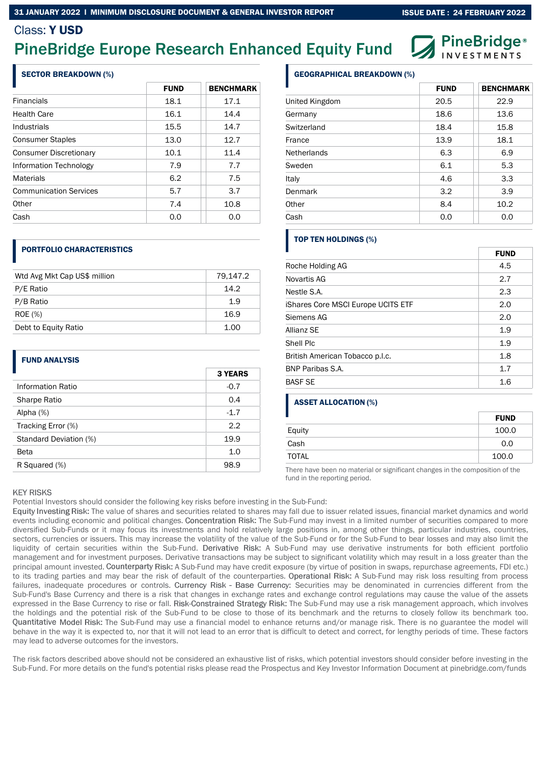#### 31 JANUARY 2022 l MINIMUM DISCLOSURE DOCUMENT & GENERAL INVESTOR REPORT

## Class: Y USD

## PineBridge Europe Research Enhanced Equity Fund

#### SECTOR BREAKDOWN (%)

|                               | <b>FUND</b> | <b>BENCHMARK</b> |
|-------------------------------|-------------|------------------|
| <b>Financials</b>             | 18.1        | 17.1             |
| <b>Health Care</b>            | 16.1        | 14.4             |
| Industrials                   | 15.5        | 14.7             |
| <b>Consumer Staples</b>       | 13.0        | 12.7             |
| <b>Consumer Discretionary</b> | 10.1        | 11.4             |
| Information Technology        | 7.9         | 7.7              |
| <b>Materials</b>              | 6.2         | 7.5              |
| <b>Communication Services</b> | 5.7         | 3.7              |
| Other                         | 7.4         | 10.8             |
| Cash                          | 0.O         | 0.0              |

#### PORTFOLIO CHARACTERISTICS

| Wtd Avg Mkt Cap US\$ million | 79,147.2 |
|------------------------------|----------|
| P/E Ratio                    | 14.2     |
| P/B Ratio                    | 1.9      |
| <b>ROE</b> (%)               | 16.9     |
| Debt to Equity Ratio         | 1.00     |

#### FUND ANALYSIS

|                        | <b>3 YEARS</b> |
|------------------------|----------------|
| Information Ratio      | $-0.7$         |
| Sharpe Ratio           | 0.4            |
| Alpha $(%)$            | $-1.7$         |
| Tracking Error (%)     | 2.2            |
| Standard Deviation (%) | 19.9           |
| Beta                   | 1.0            |
| R Squared (%)          | 98.9           |

|                        | <b>3 YEARS</b> |
|------------------------|----------------|
| Information Ratio      | $-0.7$         |
| <b>Sharpe Ratio</b>    | 0.4            |
| Alpha $(%)$            | $-1.7$         |
| Tracking Error (%)     | 2.2            |
| Standard Deviation (%) | 19.9           |
| Beta                   | 1.0            |
| R Squared (%)          | 98.9           |

#### GEOGRAPHICAL BREAKDOWN (%)

|                | <b>FUND</b> | <b>BENCHMARK</b> |
|----------------|-------------|------------------|
| United Kingdom | 20.5        | 22.9             |
| Germany        | 18.6        | 13.6             |
| Switzerland    | 18.4        | 15.8             |
| France         | 13.9        | 18.1             |
| Netherlands    | 6.3         | 6.9              |
| Sweden         | 6.1         | 5.3              |
| Italy          | 4.6         | 3.3              |
| Denmark        | 3.2         | 3.9              |
| Other          | 8.4         | 10.2             |
| Cash           | 0.0         | 0.0              |

#### TOP TEN HOLDINGS (%)

|                                    | <b>FUND</b> |
|------------------------------------|-------------|
| Roche Holding AG                   | 4.5         |
| Novartis AG                        | 2.7         |
| Nestle S.A.                        | 2.3         |
| iShares Core MSCI Europe UCITS ETF | 2.0         |
| Siemens AG                         | 2.0         |
| Allianz SE                         | 1.9         |
| Shell Plc                          | 1.9         |
| British American Tobacco p.l.c.    | 1.8         |
| <b>BNP Paribas S.A.</b>            | 1.7         |
| <b>BASF SE</b>                     | 1.6         |

#### ASSET ALLOCATION (%)

|        | <b>FUND</b> |
|--------|-------------|
| Equity | 100.0       |
| Cash   | 0.0         |
| TOTAL  | 100.0       |

There have been no material or significant changes in the composition of the fund in the reporting period.

#### **KEY RISKS**

Potential Investors should consider the following key risks before investing in the Sub-Fund:

Equity Investing Risk: The value of shares and securities related to shares may fall due to issuer related issues, financial market dynamics and world events including economic and political changes. Concentration Risk: The Sub-Fund may invest in a limited number of securities compared to more diversified Sub-Funds or it may focus its investments and hold relatively large positions in, among other things, particular industries, countries, sectors, currencies or issuers. This may increase the volatility of the value of the Sub-Fund or for the Sub-Fund to bear losses and may also limit the liquidity of certain securities within the Sub-Fund. Derivative Risk: A Sub-Fund may use derivative instruments for both efficient portfolio management and for investment purposes. Derivative transactions may be subject to significant volatility which may result in a loss greater than the principal amount invested. Counterparty Risk: A Sub-Fund may have credit exposure (by virtue of position in swaps, repurchase agreements, FDI etc.) to its trading parties and may bear the risk of default of the counterparties. Operational Risk: A Sub-Fund may risk loss resulting from process failures, inadequate procedures or controls. Currency Risk - Base Currency: Securities may be denominated in currencies different from the Sub-Fund's Base Currency and there is a risk that changes in exchange rates and exchange control regulations may cause the value of the assets expressed in the Base Currency to rise or fall. Risk-Constrained Strategy Risk: The Sub-Fund may use a risk management approach, which involves the holdings and the potential risk of the Sub-Fund to be close to those of its benchmark and the returns to closely follow its benchmark too. Quantitative Model Risk: The Sub-Fund may use a financial model to enhance returns and/or manage risk. There is no guarantee the model will behave in the way it is expected to, nor that it will not lead to an error that is difficult to detect and correct, for lengthy periods of time. These factors may lead to adverse outcomes for the investors.

The risk factors described above should not be considered an exhaustive list of risks, which potential investors should consider before investing in the Sub-Fund. For more details on the fund's potential risks please read the Prospectus and Key Investor Information Document at pinebridge.com/funds

ISSUE DATE : 24 FEBRUARY 2022

**PineBridge**® NVESTMENTS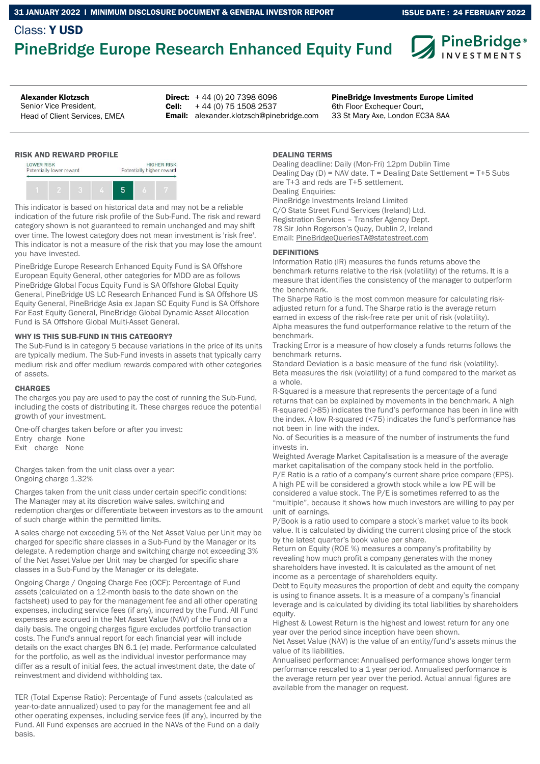## Class: Y USD PineBridge Europe Research Enhanced Equity Fund



Senior Vice President, Head of Client Services, EMEA

**Direct:**  $+44(0)$  20 7398 6096 Cell: Email: alexander.klotzsch@pinebridge.com + 44 (0) 75 1508 2537

Alexander Klotzsch **PineBridge Investments Europe Limited PineBridge Investments Europe Limited** 6th Floor Exchequer Court, 33 St Mary Axe, London EC3A 8AA

#### RISK AND REWARD PROFILE



This indicator is based on historical data and may not be a reliable indication of the future risk profile of the Sub-Fund. The risk and reward category shown is not guaranteed to remain unchanged and may shift over time. The lowest category does not mean investment is 'risk free'. This indicator is not a measure of the risk that you may lose the amount you have invested.

PineBridge Europe Research Enhanced Equity Fund is SA Offshore European Equity General, other categories for MDD are as follows PineBridge Global Focus Equity Fund is SA Offshore Global Equity General, PineBridge US LC Research Enhanced Fund is SA Offshore US Equity General, PineBridge Asia ex Japan SC Equity Fund is SA Offshore Far East Equity General, PineBridge Global Dynamic Asset Allocation Fund is SA Offshore Global Multi-Asset General.

#### WHY IS THIS SUB-FUND IN THIS CATEGORY?

The Sub-Fund is in category 5 because variations in the price of its units are typically medium. The Sub-Fund invests in assets that typically carry medium risk and offer medium rewards compared with other categories of assets.

#### **CHARGES**

The charges you pay are used to pay the cost of running the Sub-Fund, including the costs of distributing it. These charges reduce the potential growth of your investment.

One-off charges taken before or after you invest: Entry charge None Exit charge None

Charges taken from the unit class over a year: Ongoing charge 1.32%

Charges taken from the unit class under certain specific conditions: The Manager may at its discretion waive sales, switching and redemption charges or differentiate between investors as to the amount of such charge within the permitted limits.

A sales charge not exceeding 5% of the Net Asset Value per Unit may be charged for specific share classes in a Sub-Fund by the Manager or its delegate. A redemption charge and switching charge not exceeding 3% of the Net Asset Value per Unit may be charged for specific share classes in a Sub-Fund by the Manager or its delegate.

Ongoing Charge / Ongoing Charge Fee (OCF): Percentage of Fund assets (calculated on a 12-month basis to the date shown on the factsheet) used to pay for the management fee and all other operating expenses, including service fees (if any), incurred by the Fund. All Fund expenses are accrued in the Net Asset Value (NAV) of the Fund on a daily basis. The ongoing charges figure excludes portfolio transaction costs. The Fund's annual report for each financial year will include details on the exact charges BN 6.1 (e) made. Performance calculated for the portfolio, as well as the individual investor performance may differ as a result of initial fees, the actual investment date, the date of reinvestment and dividend withholding tax.

TER (Total Expense Ratio): Percentage of Fund assets (calculated as year-to-date annualized) used to pay for the management fee and all other operating expenses, including service fees (if any), incurred by the Fund. All Fund expenses are accrued in the NAVs of the Fund on a daily basis.

#### DEALING TERMS

Dealing deadline: Daily (Mon-Fri) 12pm Dublin Time Dealing Day (D) = NAV date. T = Dealing Date Settlement = T+5 Subs are T+3 and reds are T+5 settlement. Dealing Enquiries: PineBridge Investments Ireland Limited C/O State Street Fund Services (Ireland) Ltd. Registration Services – Transfer Agency Dept. 78 Sir John Rogerson's Quay, Dublin 2, Ireland Email: PineBridgeQueriesTA@statestreet.com

### **DEFINITIONS**

Information Ratio (IR) measures the funds returns above the benchmark returns relative to the risk (volatility) of the returns. It is a measure that identifies the consistency of the manager to outperform the benchmark.

The Sharpe Ratio is the most common measure for calculating riskadjusted return for a fund. The Sharpe ratio is the average return earned in excess of the risk-free rate per unit of risk (volatility). Alpha measures the fund outperformance relative to the return of the benchmark.

Tracking Error is a measure of how closely a funds returns follows the benchmark returns.

Standard Deviation is a basic measure of the fund risk (volatility). Beta measures the risk (volatility) of a fund compared to the market as a whole.

R-Squared is a measure that represents the percentage of a fund returns that can be explained by movements in the benchmark. A high R-squared (>85) indicates the fund's performance has been in line with the index. A low R-squared (<75) indicates the fund's performance has not been in line with the index.

No. of Securities is a measure of the number of instruments the fund invests in.

Weighted Average Market Capitalisation is a measure of the average market capitalisation of the company stock held in the portfolio. P/E Ratio is a ratio of a company's current share price compare (EPS). A high PE will be considered a growth stock while a low PE will be considered a value stock. The P/E is sometimes referred to as the "multiple", because it shows how much investors are willing to pay per unit of earnings.

P/Book is a ratio used to compare a stock's market value to its book value. It is calculated by dividing the current closing price of the stock by the latest quarter's book value per share.

Return on Equity (ROE %) measures a company's profitability by revealing how much profit a company generates with the money shareholders have invested. It is calculated as the amount of net income as a percentage of shareholders equity.

Debt to Equity measures the proportion of debt and equity the company is using to finance assets. It is a measure of a company's financial leverage and is calculated by dividing its total liabilities by shareholders equity.

Highest & Lowest Return is the highest and lowest return for any one year over the period since inception have been shown.

Net Asset Value (NAV) is the value of an entity/fund's assets minus the value of its liabilities.

Annualised performance: Annualised performance shows longer term performance rescaled to a 1 year period. Annualised performance is the average return per year over the period. Actual annual figures are available from the manager on request.